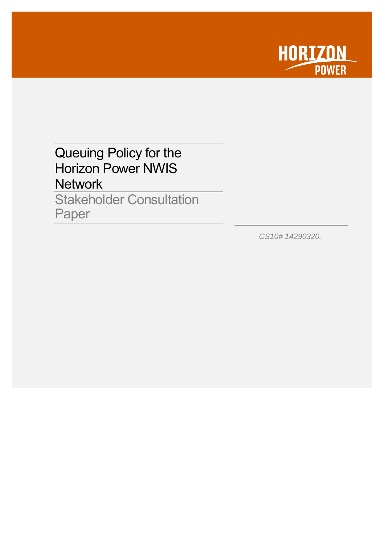

# <span id="page-0-0"></span>Queuing Policy for the Horizon Power NWIS **Network**

Stakeholder Consultation Paper

*CS10# 14290320.*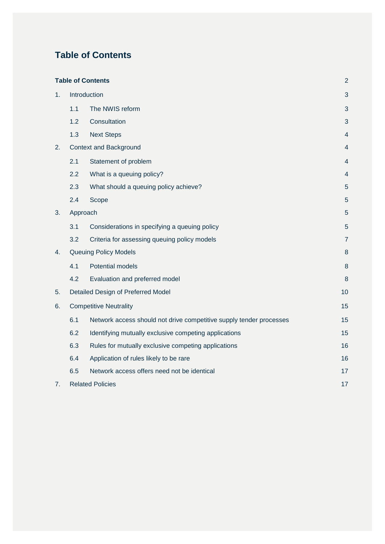# <span id="page-2-0"></span>**Table of Contents**

|    |                                    | <b>Table of Contents</b>                                            | $\overline{2}$ |  |
|----|------------------------------------|---------------------------------------------------------------------|----------------|--|
| 1. | Introduction                       |                                                                     |                |  |
|    | 1.1                                | The NWIS reform                                                     | 3              |  |
|    | 1.2                                | Consultation                                                        | 3              |  |
|    | 1.3                                | <b>Next Steps</b>                                                   | $\overline{4}$ |  |
| 2. |                                    | <b>Context and Background</b>                                       | 4              |  |
|    | 2.1                                | Statement of problem                                                | 4              |  |
|    | 2.2                                | What is a queuing policy?                                           | 4              |  |
|    | 2.3                                | What should a queuing policy achieve?                               | 5              |  |
|    | 2.4                                | Scope                                                               | $\sqrt{5}$     |  |
| 3. | Approach                           |                                                                     |                |  |
|    | 3.1                                | Considerations in specifying a queuing policy                       | 5              |  |
|    | 3.2                                | Criteria for assessing queuing policy models                        | $\overline{7}$ |  |
| 4. |                                    | <b>Queuing Policy Models</b>                                        | 8              |  |
|    | 4.1                                | <b>Potential models</b>                                             | 8              |  |
|    | 4.2                                | Evaluation and preferred model                                      | 8              |  |
| 5. | Detailed Design of Preferred Model |                                                                     | 10             |  |
| 6. |                                    | <b>Competitive Neutrality</b>                                       |                |  |
|    | 6.1                                | Network access should not drive competitive supply tender processes | 15             |  |
|    | 6.2                                | Identifying mutually exclusive competing applications               | 15             |  |
|    | 6.3                                | Rules for mutually exclusive competing applications                 | 16             |  |
|    | 6.4                                | Application of rules likely to be rare                              | 16             |  |
|    | 6.5                                | Network access offers need not be identical                         | 17             |  |
| 7. | <b>Related Policies</b>            |                                                                     | 17             |  |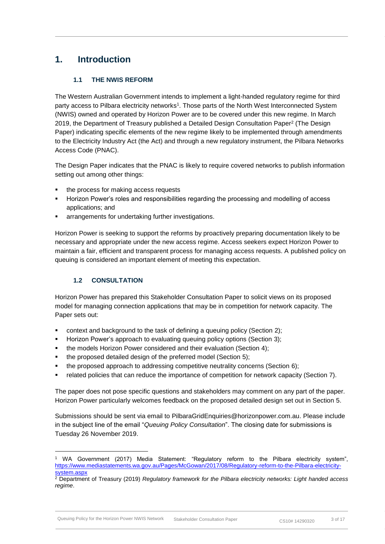# <span id="page-3-0"></span>**1. Introduction**

### **1.1 THE NWIS REFORM**

<span id="page-3-1"></span>The Western Australian Government intends to implement a light-handed regulatory regime for third party access to Pilbara electricity networks<sup>1</sup>. Those parts of the North West Interconnected System (NWIS) owned and operated by Horizon Power are to be covered under this new regime. In March 2019, the Department of Treasury published a Detailed Design Consultation Paper<sup>2</sup> (The Design Paper) indicating specific elements of the new regime likely to be implemented through amendments to the Electricity Industry Act (the Act) and through a new regulatory instrument, the Pilbara Networks Access Code (PNAC).

The Design Paper indicates that the PNAC is likely to require covered networks to publish information setting out among other things:

- the process for making access requests
- Horizon Power's roles and responsibilities regarding the processing and modelling of access applications; and
- arrangements for undertaking further investigations.

Horizon Power is seeking to support the reforms by proactively preparing documentation likely to be necessary and appropriate under the new access regime. Access seekers expect Horizon Power to maintain a fair, efficient and transparent process for managing access requests. A published policy on queuing is considered an important element of meeting this expectation.

### <span id="page-3-2"></span>**1.2 CONSULTATION**

-

Horizon Power has prepared this Stakeholder Consultation Paper to solicit views on its proposed model for managing connection applications that may be in competition for network capacity. The Paper sets out:

- context and background to the task of defining a queuing policy (Section [2\)](#page-4-1);
- Horizon Power's approach to evaluating queuing policy options (Section [3\)](#page-5-2);
- the models Horizon Power considered and their evaluation (Section [4\)](#page-8-0);
- the proposed detailed design of the preferred model (Section [5\)](#page-10-0);
- the proposed approach to addressing competitive neutrality concerns (Section [6\)](#page-15-0);
- **•** related policies that can reduce the importance of competition for network capacity (Section [7\)](#page-17-1).

The paper does not pose specific questions and stakeholders may comment on any part of the paper. Horizon Power particularly welcomes feedback on the proposed detailed design set out in Section [5.](#page-10-0)

Submissions should be sent via email to PilbaraGridEnquiries@horizonpower.com.au. Please include in the subject line of the email "*Queuing Policy Consultation*". The closing date for submissions is Tuesday 26 November 2019.

<sup>1</sup> WA Government (2017) Media Statement: "Regulatory reform to the Pilbara electricity system", [https://www.mediastatements.wa.gov.au/Pages/McGowan/2017/08/Regulatory-reform-to-the-Pilbara-electricity](https://www.mediastatements.wa.gov.au/Pages/McGowan/2017/08/Regulatory-reform-to-the-Pilbara-electricity-system.aspx)[system.aspx](https://www.mediastatements.wa.gov.au/Pages/McGowan/2017/08/Regulatory-reform-to-the-Pilbara-electricity-system.aspx)

<sup>2</sup> Department of Treasury (2019) *Regulatory framework for the Pilbara electricity networks: Light handed access regime*.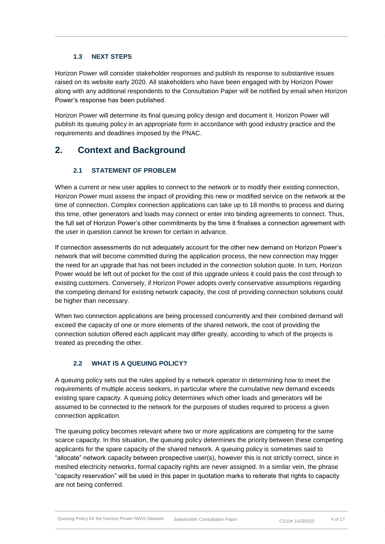#### **1.3 NEXT STEPS**

<span id="page-4-0"></span>Horizon Power will consider stakeholder responses and publish its response to substantive issues raised on its website early 2020. All stakeholders who have been engaged with by Horizon Power along with any additional respondents to the Consultation Paper will be notified by email when Horizon Power's response has been published.

Horizon Power will determine its final queuing policy design and document it. Horizon Power will publish its queuing policy in an appropriate form in accordance with good industry practice and the requirements and deadlines imposed by the PNAC.

# <span id="page-4-1"></span>**2. Context and Background**

### **2.1 STATEMENT OF PROBLEM**

<span id="page-4-2"></span>When a current or new user applies to connect to the network or to modify their existing connection, Horizon Power must assess the impact of providing this new or modified service on the network at the time of connection. Complex connection applications can take up to 18 months to process and during this time, other generators and loads may connect or enter into binding agreements to connect. Thus, the full set of Horizon Power's other commitments by the time it finalises a connection agreement with the user in question cannot be known for certain in advance.

If connection assessments do not adequately account for the other new demand on Horizon Power's network that will become committed during the application process, the new connection may trigger the need for an upgrade that has not been included in the connection solution quote. In turn, Horizon Power would be left out of pocket for the cost of this upgrade unless it could pass the cost through to existing customers. Conversely, if Horizon Power adopts overly conservative assumptions regarding the competing demand for existing network capacity, the cost of providing connection solutions could be higher than necessary.

When two connection applications are being processed concurrently and their combined demand will exceed the capacity of one or more elements of the shared network, the cost of providing the connection solution offered each applicant may differ greatly, according to which of the projects is treated as preceding the other.

### <span id="page-4-3"></span>**2.2 WHAT IS A QUEUING POLICY?**

A queuing policy sets out the rules applied by a network operator in determining how to meet the requirements of multiple access seekers, in particular where the cumulative new demand exceeds existing spare capacity. A queuing policy determines which other loads and generators will be assumed to be connected to the network for the purposes of studies required to process a given connection application.

The queuing policy becomes relevant where two or more applications are competing for the same scarce capacity. In this situation, the queuing policy determines the priority between these competing applicants for the spare capacity of the shared network. A queuing policy is sometimes said to "allocate" network capacity between prospective user(s), however this is not strictly correct, since in meshed electricity networks, formal capacity rights are never assigned. In a similar vein, the phrase "capacity reservation" will be used in this paper in quotation marks to reiterate that rights to capacity are not being conferred.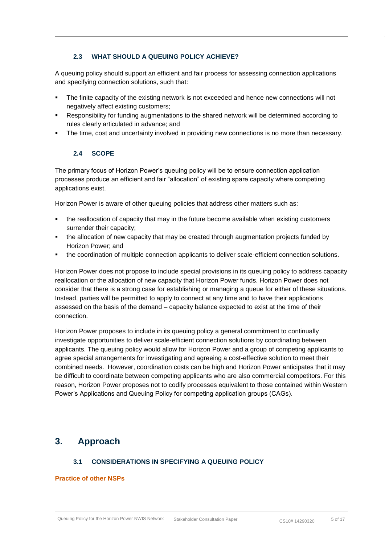### **2.3 WHAT SHOULD A QUEUING POLICY ACHIEVE?**

<span id="page-5-0"></span>A queuing policy should support an efficient and fair process for assessing connection applications and specifying connection solutions, such that:

- The finite capacity of the existing network is not exceeded and hence new connections will not negatively affect existing customers;
- Responsibility for funding augmentations to the shared network will be determined according to rules clearly articulated in advance; and
- <span id="page-5-1"></span>The time, cost and uncertainty involved in providing new connections is no more than necessary.

#### **2.4 SCOPE**

The primary focus of Horizon Power's queuing policy will be to ensure connection application processes produce an efficient and fair "allocation" of existing spare capacity where competing applications exist.

Horizon Power is aware of other queuing policies that address other matters such as:

- the reallocation of capacity that may in the future become available when existing customers surrender their capacity;
- the allocation of new capacity that may be created through augmentation projects funded by Horizon Power; and
- the coordination of multiple connection applicants to deliver scale-efficient connection solutions.

Horizon Power does not propose to include special provisions in its queuing policy to address capacity reallocation or the allocation of new capacity that Horizon Power funds. Horizon Power does not consider that there is a strong case for establishing or managing a queue for either of these situations. Instead, parties will be permitted to apply to connect at any time and to have their applications assessed on the basis of the demand – capacity balance expected to exist at the time of their connection.

Horizon Power proposes to include in its queuing policy a general commitment to continually investigate opportunities to deliver scale-efficient connection solutions by coordinating between applicants. The queuing policy would allow for Horizon Power and a group of competing applicants to agree special arrangements for investigating and agreeing a cost-effective solution to meet their combined needs. However, coordination costs can be high and Horizon Power anticipates that it may be difficult to coordinate between competing applicants who are also commercial competitors. For this reason, Horizon Power proposes not to codify processes equivalent to those contained within Western Power's Applications and Queuing Policy for competing application groups (CAGs).

## <span id="page-5-2"></span>**3. Approach**

#### **3.1 CONSIDERATIONS IN SPECIFYING A QUEUING POLICY**

#### <span id="page-5-3"></span>**Practice of other NSPs**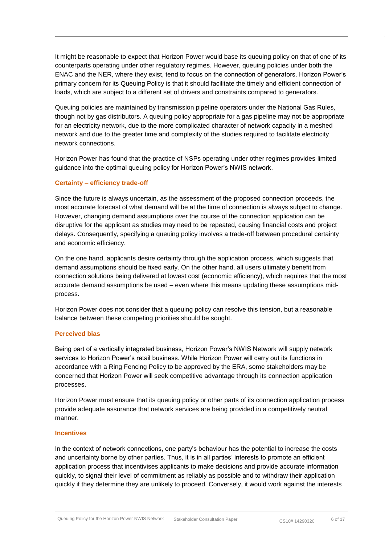It might be reasonable to expect that Horizon Power would base its queuing policy on that of one of its counterparts operating under other regulatory regimes. However, queuing policies under both the ENAC and the NER, where they exist, tend to focus on the connection of generators. Horizon Power's primary concern for its Queuing Policy is that it should facilitate the timely and efficient connection of loads, which are subject to a different set of drivers and constraints compared to generators.

Queuing policies are maintained by transmission pipeline operators under the National Gas Rules, though not by gas distributors. A queuing policy appropriate for a gas pipeline may not be appropriate for an electricity network, due to the more complicated character of network capacity in a meshed network and due to the greater time and complexity of the studies required to facilitate electricity network connections.

Horizon Power has found that the practice of NSPs operating under other regimes provides limited guidance into the optimal queuing policy for Horizon Power's NWIS network.

#### **Certainty – efficiency trade-off**

Since the future is always uncertain, as the assessment of the proposed connection proceeds, the most accurate forecast of what demand will be at the time of connection is always subject to change. However, changing demand assumptions over the course of the connection application can be disruptive for the applicant as studies may need to be repeated, causing financial costs and project delays. Consequently, specifying a queuing policy involves a trade-off between procedural certainty and economic efficiency.

On the one hand, applicants desire certainty through the application process, which suggests that demand assumptions should be fixed early. On the other hand, all users ultimately benefit from connection solutions being delivered at lowest cost (economic efficiency), which requires that the most accurate demand assumptions be used – even where this means updating these assumptions midprocess.

Horizon Power does not consider that a queuing policy can resolve this tension, but a reasonable balance between these competing priorities should be sought.

#### **Perceived bias**

Being part of a vertically integrated business, Horizon Power's NWIS Network will supply network services to Horizon Power's retail business. While Horizon Power will carry out its functions in accordance with a Ring Fencing Policy to be approved by the ERA, some stakeholders may be concerned that Horizon Power will seek competitive advantage through its connection application processes.

Horizon Power must ensure that its queuing policy or other parts of its connection application process provide adequate assurance that network services are being provided in a competitively neutral manner.

#### **Incentives**

In the context of network connections, one party's behaviour has the potential to increase the costs and uncertainty borne by other parties. Thus, it is in all parties' interests to promote an efficient application process that incentivises applicants to make decisions and provide accurate information quickly, to signal their level of commitment as reliably as possible and to withdraw their application quickly if they determine they are unlikely to proceed. Conversely, it would work against the interests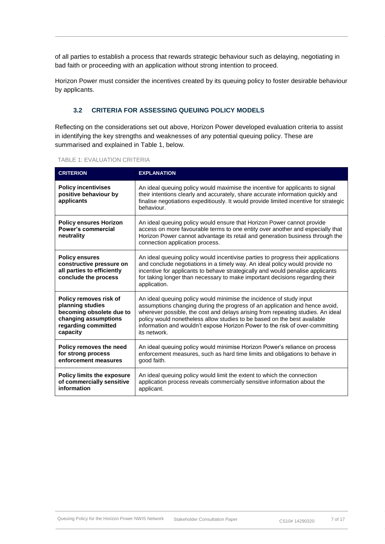of all parties to establish a process that rewards strategic behaviour such as delaying, negotiating in bad faith or proceeding with an application without strong intention to proceed.

Horizon Power must consider the incentives created by its queuing policy to foster desirable behaviour by applicants.

### <span id="page-7-0"></span>**3.2 CRITERIA FOR ASSESSING QUEUING POLICY MODELS**

Reflecting on the considerations set out above, Horizon Power developed evaluation criteria to assist in identifying the key strengths and weaknesses of any potential queuing policy. These are summarised and explained in [Table 1,](#page-7-1) below.

#### <span id="page-7-1"></span>TABLE 1: EVALUATION CRITERIA

| <b>CRITERION</b>                                                                                                                  | <b>EXPLANATION</b>                                                                                                                                                                                                                                                                                                                                                                                                |  |
|-----------------------------------------------------------------------------------------------------------------------------------|-------------------------------------------------------------------------------------------------------------------------------------------------------------------------------------------------------------------------------------------------------------------------------------------------------------------------------------------------------------------------------------------------------------------|--|
| <b>Policy incentivises</b><br>positive behaviour by<br>applicants                                                                 | An ideal queuing policy would maximise the incentive for applicants to signal<br>their intentions clearly and accurately, share accurate information quickly and<br>finalise negotiations expeditiously. It would provide limited incentive for strategic<br>behaviour.                                                                                                                                           |  |
| <b>Policy ensures Horizon</b><br><b>Power's commercial</b><br>neutrality                                                          | An ideal queuing policy would ensure that Horizon Power cannot provide<br>access on more favourable terms to one entity over another and especially that<br>Horizon Power cannot advantage its retail and generation business through the<br>connection application process.                                                                                                                                      |  |
| <b>Policy ensures</b><br>constructive pressure on<br>all parties to efficiently<br>conclude the process                           | An ideal queuing policy would incentivise parties to progress their applications<br>and conclude negotiations in a timely way. An ideal policy would provide no<br>incentive for applicants to behave strategically and would penalise applicants<br>for taking longer than necessary to make important decisions regarding their<br>application.                                                                 |  |
| Policy removes risk of<br>planning studies<br>becoming obsolete due to<br>changing assumptions<br>regarding committed<br>capacity | An ideal queuing policy would minimise the incidence of study input<br>assumptions changing during the progress of an application and hence avoid,<br>wherever possible, the cost and delays arising from repeating studies. An ideal<br>policy would nonetheless allow studies to be based on the best available<br>information and wouldn't expose Horizon Power to the risk of over-committing<br>its network. |  |
| Policy removes the need<br>for strong process<br>enforcement measures                                                             | An ideal queuing policy would minimise Horizon Power's reliance on process<br>enforcement measures, such as hard time limits and obligations to behave in<br>good faith.                                                                                                                                                                                                                                          |  |
| <b>Policy limits the exposure</b><br>of commercially sensitive<br>information                                                     | An ideal queuing policy would limit the extent to which the connection<br>application process reveals commercially sensitive information about the<br>applicant.                                                                                                                                                                                                                                                  |  |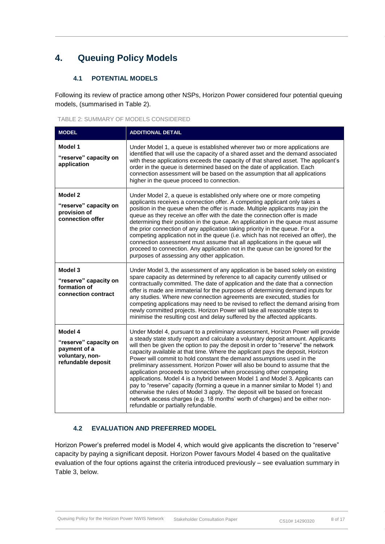# <span id="page-8-0"></span>**4. Queuing Policy Models**

### **4.1 POTENTIAL MODELS**

<span id="page-8-1"></span>Following its review of practice among other NSPs, Horizon Power considered four potential queuing models, (summarised in [Table 2\)](#page-8-3).

<span id="page-8-3"></span>

| <b>MODEL</b>                                                                              | <b>ADDITIONAL DETAIL</b>                                                                                                                                                                                                                                                                                                                                                                                                                                                                                                                                                                                                                                                                                                                                                                                                                                                                                                                           |  |  |
|-------------------------------------------------------------------------------------------|----------------------------------------------------------------------------------------------------------------------------------------------------------------------------------------------------------------------------------------------------------------------------------------------------------------------------------------------------------------------------------------------------------------------------------------------------------------------------------------------------------------------------------------------------------------------------------------------------------------------------------------------------------------------------------------------------------------------------------------------------------------------------------------------------------------------------------------------------------------------------------------------------------------------------------------------------|--|--|
| Model 1<br>"reserve" capacity on<br>application                                           | Under Model 1, a queue is established wherever two or more applications are<br>identified that will use the capacity of a shared asset and the demand associated<br>with these applications exceeds the capacity of that shared asset. The applicant's<br>order in the queue is determined based on the date of application. Each<br>connection assessment will be based on the assumption that all applications<br>higher in the queue proceed to connection.                                                                                                                                                                                                                                                                                                                                                                                                                                                                                     |  |  |
| Model 2<br>"reserve" capacity on<br>provision of<br>connection offer                      | Under Model 2, a queue is established only where one or more competing<br>applicants receives a connection offer. A competing applicant only takes a<br>position in the queue when the offer is made. Multiple applicants may join the<br>queue as they receive an offer with the date the connection offer is made<br>determining their position in the queue. An application in the queue must assume<br>the prior connection of any application taking priority in the queue. For a<br>competing application not in the queue (i.e. which has not received an offer), the<br>connection assessment must assume that all applications in the queue will<br>proceed to connection. Any application not in the queue can be ignored for the<br>purposes of assessing any other application.                                                                                                                                                        |  |  |
| Model 3<br>"reserve" capacity on<br>formation of<br>connection contract                   | Under Model 3, the assessment of any application is be based solely on existing<br>spare capacity as determined by reference to all capacity currently utilised or<br>contractually committed. The date of application and the date that a connection<br>offer is made are immaterial for the purposes of determining demand inputs for<br>any studies. Where new connection agreements are executed, studies for<br>competing applications may need to be revised to reflect the demand arising from<br>newly committed projects. Horizon Power will take all reasonable steps to<br>minimise the resulting cost and delay suffered by the affected applicants.                                                                                                                                                                                                                                                                                   |  |  |
| Model 4<br>"reserve" capacity on<br>payment of a<br>voluntary, non-<br>refundable deposit | Under Model 4, pursuant to a preliminary assessment, Horizon Power will provide<br>a steady state study report and calculate a voluntary deposit amount. Applicants<br>will then be given the option to pay the deposit in order to "reserve" the network<br>capacity available at that time. Where the applicant pays the deposit, Horizon<br>Power will commit to hold constant the demand assumptions used in the<br>preliminary assessment. Horizon Power will also be bound to assume that the<br>application proceeds to connection when processing other competing<br>applications. Model 4 is a hybrid between Model 1 and Model 3. Applicants can<br>pay to "reserve" capacity (forming a queue in a manner similar to Model 1) and<br>otherwise the rules of Model 3 apply. The deposit will be based on forecast<br>network access charges (e.g. 18 months' worth of charges) and be either non-<br>refundable or partially refundable. |  |  |

### <span id="page-8-2"></span>**4.2 EVALUATION AND PREFERRED MODEL**

Horizon Power's preferred model is Model 4, which would give applicants the discretion to "reserve" capacity by paying a significant deposit. Horizon Power favours Model 4 based on the qualitative evaluation of the four options against the criteria introduced previously – see evaluation summary in [Table 3,](#page-9-0) below.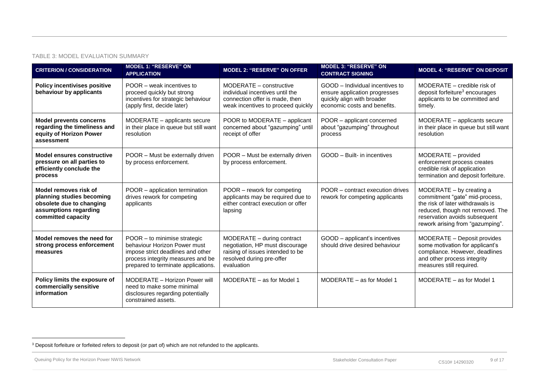#### TABLE 3: MODEL EVALUATION SUMMARY

| <b>CRITERION / CONSIDERATION</b>                                                                                              | <b>MODEL 1: "RESERVE" ON</b><br><b>APPLICATION</b>                                                                                                                            | <b>MODEL 2: "RESERVE" ON OFFER</b>                                                                                                           | <b>MODEL 3: "RESERVE" ON</b><br><b>CONTRACT SIGNING</b>                                                                        | <b>MODEL 4: "RESERVE" ON DEPOSIT</b>                                                                                                                                                                    |
|-------------------------------------------------------------------------------------------------------------------------------|-------------------------------------------------------------------------------------------------------------------------------------------------------------------------------|----------------------------------------------------------------------------------------------------------------------------------------------|--------------------------------------------------------------------------------------------------------------------------------|---------------------------------------------------------------------------------------------------------------------------------------------------------------------------------------------------------|
| <b>Policy incentivises positive</b><br>behaviour by applicants                                                                | POOR – weak incentives to<br>proceed quickly but strong<br>incentives for strategic behaviour<br>(apply first, decide later)                                                  | MODERATE - constructive<br>individual incentives until the<br>connection offer is made, then<br>weak incentives to proceed quickly           | GOOD - Individual incentives to<br>ensure application progresses<br>quickly align with broader<br>economic costs and benefits. | MODERATE – credible risk of<br>deposit forfeiture <sup>3</sup> encourages<br>applicants to be committed and<br>timely.                                                                                  |
| <b>Model prevents concerns</b><br>regarding the timeliness and<br>equity of Horizon Power<br>assessment                       | MODERATE - applicants secure<br>in their place in queue but still want<br>resolution                                                                                          | POOR to MODERATE - applicant<br>concerned about "gazumping" until<br>receipt of offer                                                        | POOR - applicant concerned<br>about "gazumping" throughout<br>process                                                          | MODERATE - applicants secure<br>in their place in queue but still want<br>resolution                                                                                                                    |
| <b>Model ensures constructive</b><br>pressure on all parties to<br>efficiently conclude the<br>process                        | POOR - Must be externally driven<br>by process enforcement.                                                                                                                   | POOR - Must be externally driven<br>by process enforcement.                                                                                  | GOOD - Built- in incentives                                                                                                    | MODERATE - provided<br>enforcement process creates<br>credible risk of application<br>termination and deposit forfeiture.                                                                               |
| Model removes risk of<br>planning studies becoming<br>obsolete due to changing<br>assumptions regarding<br>committed capacity | POOR - application termination<br>drives rework for competing<br>applicants                                                                                                   | POOR - rework for competing<br>applicants may be required due to<br>either contract execution or offer<br>lapsing                            | POOR - contract execution drives<br>rework for competing applicants                                                            | MODERATE - by creating a<br>commitment "gate" mid-process,<br>the risk of later withdrawals is<br>reduced, though not removed. The<br>reservation avoids subsequent<br>rework arising from "gazumping". |
| Model removes the need for<br>strong process enforcement<br>measures                                                          | POOR - to minimise strategic<br>behaviour Horizon Power must<br>impose strict deadlines and other<br>process integrity measures and be<br>prepared to terminate applications. | MODERATE - during contract<br>negotiation, HP must discourage<br>raising of issues intended to be<br>resolved during pre-offer<br>evaluation | GOOD - applicant's incentives<br>should drive desired behaviour                                                                | MODERATE - Deposit provides<br>some motivation for applicant's<br>compliance. However, deadlines<br>and other process integrity<br>measures still required.                                             |
| Policy limits the exposure of<br>commercially sensitive<br>information                                                        | MODERATE - Horizon Power will<br>need to make some minimal<br>disclosures regarding potentially<br>constrained assets.                                                        | MODERATE - as for Model 1                                                                                                                    | MODERATE - as for Model 1                                                                                                      | MODERATE - as for Model 1                                                                                                                                                                               |

<span id="page-9-0"></span>l

<sup>&</sup>lt;sup>3</sup> Deposit forfeiture or forfeited refers to deposit (or part of) which are not refunded to the applicants.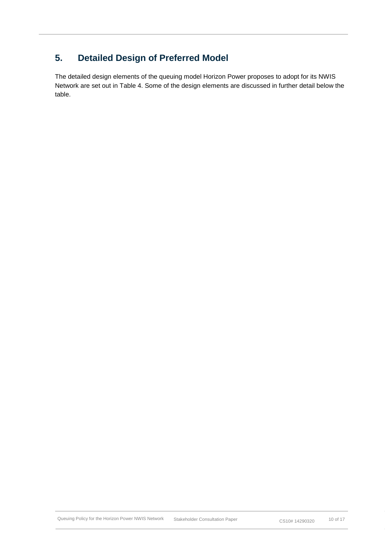# <span id="page-10-0"></span>**5. Detailed Design of Preferred Model**

The detailed design elements of the queuing model Horizon Power proposes to adopt for its NWIS Network are set out in [Table 4.](#page-11-0) Some of the design elements are discussed in further detail below the table.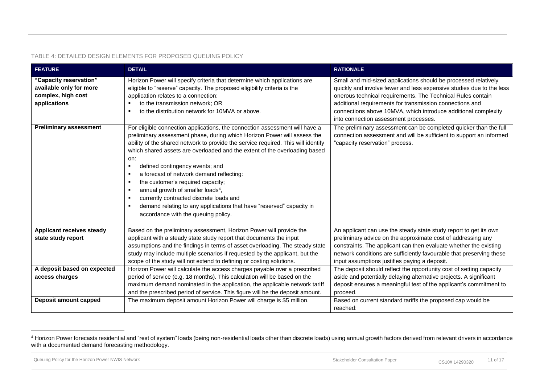#### TABLE 4: DETAILED DESIGN ELEMENTS FOR PROPOSED QUEUING POLICY

| <b>FEATURE</b>                                                                          | <b>DETAIL</b>                                                                                                                                                                                                                                                                                                                                                                                                                                                                                                                                                                                                                                                                                 | <b>RATIONALE</b>                                                                                                                                                                                                                                                                                                                                                              |
|-----------------------------------------------------------------------------------------|-----------------------------------------------------------------------------------------------------------------------------------------------------------------------------------------------------------------------------------------------------------------------------------------------------------------------------------------------------------------------------------------------------------------------------------------------------------------------------------------------------------------------------------------------------------------------------------------------------------------------------------------------------------------------------------------------|-------------------------------------------------------------------------------------------------------------------------------------------------------------------------------------------------------------------------------------------------------------------------------------------------------------------------------------------------------------------------------|
| "Capacity reservation"<br>available only for more<br>complex, high cost<br>applications | Horizon Power will specify criteria that determine which applications are<br>eligible to "reserve" capacity. The proposed eligibility criteria is the<br>application relates to a connection:<br>to the transmission network; OR<br>$\blacksquare$<br>to the distribution network for 10MVA or above.<br>л.                                                                                                                                                                                                                                                                                                                                                                                   | Small and mid-sized applications should be processed relatively<br>quickly and involve fewer and less expensive studies due to the less<br>onerous technical requirements. The Technical Rules contain<br>additional requirements for transmission connections and<br>connections above 10MVA, which introduce additional complexity<br>into connection assessment processes. |
| <b>Preliminary assessment</b>                                                           | For eligible connection applications, the connection assessment will have a<br>preliminary assessment phase, during which Horizon Power will assess the<br>ability of the shared network to provide the service required. This will identify<br>which shared assets are overloaded and the extent of the overloading based<br>on:<br>defined contingency events; and<br>п.<br>a forecast of network demand reflecting:<br>л.<br>the customer's required capacity;<br>٠<br>annual growth of smaller loads <sup>4</sup> ,<br>л.<br>currently contracted discrete loads and<br>demand relating to any applications that have "reserved" capacity in<br>л.<br>accordance with the queuing policy. | The preliminary assessment can be completed quicker than the full<br>connection assessment and will be sufficient to support an informed<br>"capacity reservation" process.                                                                                                                                                                                                   |
| <b>Applicant receives steady</b>                                                        | Based on the preliminary assessment, Horizon Power will provide the                                                                                                                                                                                                                                                                                                                                                                                                                                                                                                                                                                                                                           | An applicant can use the steady state study report to get its own                                                                                                                                                                                                                                                                                                             |
| state study report                                                                      | applicant with a steady state study report that documents the input                                                                                                                                                                                                                                                                                                                                                                                                                                                                                                                                                                                                                           | preliminary advice on the approximate cost of addressing any                                                                                                                                                                                                                                                                                                                  |
|                                                                                         | assumptions and the findings in terms of asset overloading. The steady state                                                                                                                                                                                                                                                                                                                                                                                                                                                                                                                                                                                                                  | constraints. The applicant can then evaluate whether the existing                                                                                                                                                                                                                                                                                                             |
|                                                                                         | study may include multiple scenarios if requested by the applicant, but the                                                                                                                                                                                                                                                                                                                                                                                                                                                                                                                                                                                                                   | network conditions are sufficiently favourable that preserving these                                                                                                                                                                                                                                                                                                          |
|                                                                                         | scope of the study will not extend to defining or costing solutions.                                                                                                                                                                                                                                                                                                                                                                                                                                                                                                                                                                                                                          | input assumptions justifies paying a deposit.                                                                                                                                                                                                                                                                                                                                 |
| A deposit based on expected                                                             | Horizon Power will calculate the access charges payable over a prescribed                                                                                                                                                                                                                                                                                                                                                                                                                                                                                                                                                                                                                     | The deposit should reflect the opportunity cost of setting capacity                                                                                                                                                                                                                                                                                                           |
| access charges                                                                          | period of service (e.g. 18 months). This calculation will be based on the                                                                                                                                                                                                                                                                                                                                                                                                                                                                                                                                                                                                                     | aside and potentially delaying alternative projects. A significant                                                                                                                                                                                                                                                                                                            |
|                                                                                         | maximum demand nominated in the application, the applicable network tariff                                                                                                                                                                                                                                                                                                                                                                                                                                                                                                                                                                                                                    | deposit ensures a meaningful test of the applicant's commitment to                                                                                                                                                                                                                                                                                                            |
|                                                                                         | and the prescribed period of service. This figure will be the deposit amount.                                                                                                                                                                                                                                                                                                                                                                                                                                                                                                                                                                                                                 | proceed.                                                                                                                                                                                                                                                                                                                                                                      |
| Deposit amount capped                                                                   | The maximum deposit amount Horizon Power will charge is \$5 million.                                                                                                                                                                                                                                                                                                                                                                                                                                                                                                                                                                                                                          | Based on current standard tariffs the proposed cap would be                                                                                                                                                                                                                                                                                                                   |
|                                                                                         |                                                                                                                                                                                                                                                                                                                                                                                                                                                                                                                                                                                                                                                                                               | reached:                                                                                                                                                                                                                                                                                                                                                                      |

<span id="page-11-0"></span>l

<sup>&</sup>lt;sup>4</sup> Horizon Power forecasts residential and "rest of system" loads (being non-residential loads other than discrete loads) using annual growth factors derived from relevant drivers in accordance with a documented demand forecasting methodology.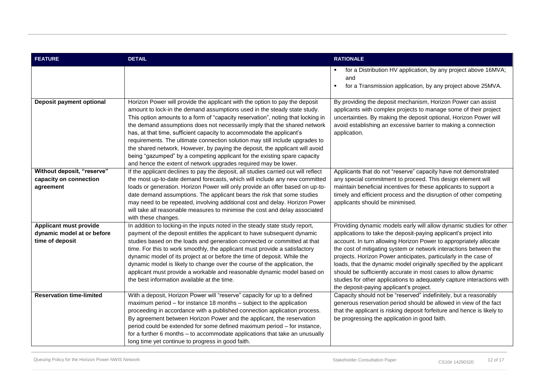| <b>FEATURE</b>                                                                 | <b>DETAIL</b>                                                                                                                                                                                                                                                                                                                                                                                                                                                                                                                                                                                                                                                                                                    | <b>RATIONALE</b>                                                                                                                                                                                                                                                                                                                                                                                                                                                                                                                                                                                                    |
|--------------------------------------------------------------------------------|------------------------------------------------------------------------------------------------------------------------------------------------------------------------------------------------------------------------------------------------------------------------------------------------------------------------------------------------------------------------------------------------------------------------------------------------------------------------------------------------------------------------------------------------------------------------------------------------------------------------------------------------------------------------------------------------------------------|---------------------------------------------------------------------------------------------------------------------------------------------------------------------------------------------------------------------------------------------------------------------------------------------------------------------------------------------------------------------------------------------------------------------------------------------------------------------------------------------------------------------------------------------------------------------------------------------------------------------|
|                                                                                |                                                                                                                                                                                                                                                                                                                                                                                                                                                                                                                                                                                                                                                                                                                  | for a Distribution HV application, by any project above 16MVA;<br>and<br>for a Transmission application, by any project above 25MVA.                                                                                                                                                                                                                                                                                                                                                                                                                                                                                |
| Deposit payment optional                                                       | Horizon Power will provide the applicant with the option to pay the deposit<br>amount to lock-in the demand assumptions used in the steady state study.<br>This option amounts to a form of "capacity reservation", noting that locking in<br>the demand assumptions does not necessarily imply that the shared network<br>has, at that time, sufficient capacity to accommodate the applicant's<br>requirements. The ultimate connection solution may still include upgrades to<br>the shared network. However, by paying the deposit, the applicant will avoid<br>being "gazumped" by a competing applicant for the existing spare capacity<br>and hence the extent of network upgrades required may be lower. | By providing the deposit mechanism, Horizon Power can assist<br>applicants with complex projects to manage some of their project<br>uncertainties. By making the deposit optional, Horizon Power will<br>avoid establishing an excessive barrier to making a connection<br>application.                                                                                                                                                                                                                                                                                                                             |
| Without deposit, "reserve"<br>capacity on connection<br>agreement              | If the applicant declines to pay the deposit, all studies carried out will reflect<br>the most up-to-date demand forecasts, which will include any new committed<br>loads or generation. Horizon Power will only provide an offer based on up-to-<br>date demand assumptions. The applicant bears the risk that some studies<br>may need to be repeated, involving additional cost and delay. Horizon Power<br>will take all reasonable measures to minimise the cost and delay associated<br>with these changes.                                                                                                                                                                                                | Applicants that do not "reserve" capacity have not demonstrated<br>any special commitment to proceed. This design element will<br>maintain beneficial incentives for these applicants to support a<br>timely and efficient process and the disruption of other competing<br>applicants should be minimised.                                                                                                                                                                                                                                                                                                         |
| <b>Applicant must provide</b><br>dynamic model at or before<br>time of deposit | In addition to locking-in the inputs noted in the steady state study report,<br>payment of the deposit entitles the applicant to have subsequent dynamic<br>studies based on the loads and generation connected or committed at that<br>time. For this to work smoothly, the applicant must provide a satisfactory<br>dynamic model of its project at or before the time of deposit. While the<br>dynamic model is likely to change over the course of the application, the<br>applicant must provide a workable and reasonable dynamic model based on<br>the best information available at the time.                                                                                                            | Providing dynamic models early will allow dynamic studies for other<br>applications to take the deposit-paying applicant's project into<br>account. In turn allowing Horizon Power to appropriately allocate<br>the cost of mitigating system or network interactions between the<br>projects. Horizon Power anticipates, particularly in the case of<br>loads, that the dynamic model originally specified by the applicant<br>should be sufficiently accurate in most cases to allow dynamic<br>studies for other applications to adequately capture interactions with<br>the deposit-paying applicant's project. |
| <b>Reservation time-limited</b>                                                | With a deposit, Horizon Power will "reserve" capacity for up to a defined<br>maximum period – for instance 18 months – subject to the application<br>proceeding in accordance with a published connection application process.<br>By agreement between Horizon Power and the applicant, the reservation<br>period could be extended for some defined maximum period - for instance,<br>for a further 6 months - to accommodate applications that take an unusually<br>long time yet continue to progress in good faith.                                                                                                                                                                                          | Capacity should not be "reserved" indefinitely, but a reasonably<br>generous reservation period should be allowed in view of the fact<br>that the applicant is risking deposit forfeiture and hence is likely to<br>be progressing the application in good faith.                                                                                                                                                                                                                                                                                                                                                   |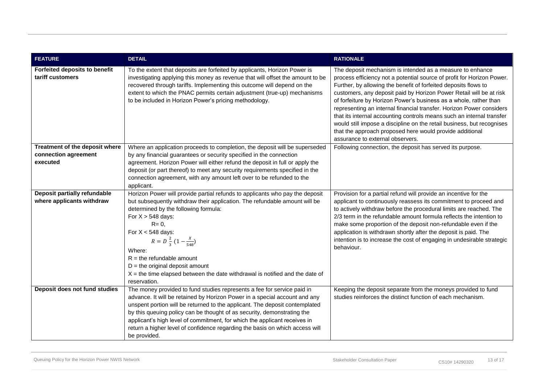| <b>FEATURE</b>                                                     | <b>DETAIL</b>                                                                                                                                                                                                                                                                                                                                                                                                                                                                                | <b>RATIONALE</b>                                                                                                                                                                                                                                                                                                                                                                                                                                                                                                                                                                                                                                                              |
|--------------------------------------------------------------------|----------------------------------------------------------------------------------------------------------------------------------------------------------------------------------------------------------------------------------------------------------------------------------------------------------------------------------------------------------------------------------------------------------------------------------------------------------------------------------------------|-------------------------------------------------------------------------------------------------------------------------------------------------------------------------------------------------------------------------------------------------------------------------------------------------------------------------------------------------------------------------------------------------------------------------------------------------------------------------------------------------------------------------------------------------------------------------------------------------------------------------------------------------------------------------------|
| <b>Forfeited deposits to benefit</b><br>tariff customers           | To the extent that deposits are forfeited by applicants, Horizon Power is<br>investigating applying this money as revenue that will offset the amount to be<br>recovered through tariffs. Implementing this outcome will depend on the<br>extent to which the PNAC permits certain adjustment (true-up) mechanisms<br>to be included in Horizon Power's pricing methodology.                                                                                                                 | The deposit mechanism is intended as a measure to enhance<br>process efficiency not a potential source of profit for Horizon Power.<br>Further, by allowing the benefit of forfeited deposits flows to<br>customers, any deposit paid by Horizon Power Retail will be at risk<br>of forfeiture by Horizon Power's business as a whole, rather than<br>representing an internal financial transfer. Horizon Power considers<br>that its internal accounting controls means such an internal transfer<br>would still impose a discipline on the retail business, but recognises<br>that the approach proposed here would provide additional<br>assurance to external observers. |
| Treatment of the deposit where<br>connection agreement<br>executed | Where an application proceeds to completion, the deposit will be superseded<br>by any financial guarantees or security specified in the connection<br>agreement. Horizon Power will either refund the deposit in full or apply the<br>deposit (or part thereof) to meet any security requirements specified in the<br>connection agreement, with any amount left over to be refunded to the<br>applicant.                                                                                    | Following connection, the deposit has served its purpose.                                                                                                                                                                                                                                                                                                                                                                                                                                                                                                                                                                                                                     |
| Deposit partially refundable<br>where applicants withdraw          | Horizon Power will provide partial refunds to applicants who pay the deposit<br>but subsequently withdraw their application. The refundable amount will be<br>determined by the following formula:<br>For $X > 548$ days:<br>$R = 0$ ,<br>For $X < 548$ days:<br>$R = D \frac{2}{3} (1 - \frac{x}{548})$<br>Where:<br>$R =$ the refundable amount<br>$D =$ the original deposit amount<br>$X =$ the time elapsed between the date withdrawal is notified and the date of<br>reservation.     | Provision for a partial refund will provide an incentive for the<br>applicant to continuously reassess its commitment to proceed and<br>to actively withdraw before the procedural limits are reached. The<br>2/3 term in the refundable amount formula reflects the intention to<br>make some proportion of the deposit non-refundable even if the<br>application is withdrawn shortly after the deposit is paid. The<br>intention is to increase the cost of engaging in undesirable strategic<br>behaviour.                                                                                                                                                                |
| Deposit does not fund studies                                      | The money provided to fund studies represents a fee for service paid in<br>advance. It will be retained by Horizon Power in a special account and any<br>unspent portion will be returned to the applicant. The deposit contemplated<br>by this queuing policy can be thought of as security, demonstrating the<br>applicant's high level of commitment, for which the applicant receives in<br>return a higher level of confidence regarding the basis on which access will<br>be provided. | Keeping the deposit separate from the moneys provided to fund<br>studies reinforces the distinct function of each mechanism.                                                                                                                                                                                                                                                                                                                                                                                                                                                                                                                                                  |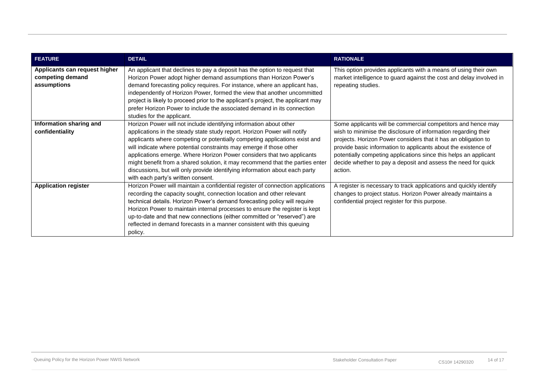| <b>FEATURE</b>                                                   | <b>DETAIL</b>                                                                                                                                                                                                                                                                                                                                                                                                                                                                                                                                                                       | <b>RATIONALE</b>                                                                                                                                                                                                                                                                                                                                                                                                   |
|------------------------------------------------------------------|-------------------------------------------------------------------------------------------------------------------------------------------------------------------------------------------------------------------------------------------------------------------------------------------------------------------------------------------------------------------------------------------------------------------------------------------------------------------------------------------------------------------------------------------------------------------------------------|--------------------------------------------------------------------------------------------------------------------------------------------------------------------------------------------------------------------------------------------------------------------------------------------------------------------------------------------------------------------------------------------------------------------|
| Applicants can request higher<br>competing demand<br>assumptions | An applicant that declines to pay a deposit has the option to request that<br>Horizon Power adopt higher demand assumptions than Horizon Power's<br>demand forecasting policy requires. For instance, where an applicant has,<br>independently of Horizon Power, formed the view that another uncommitted<br>project is likely to proceed prior to the applicant's project, the applicant may<br>prefer Horizon Power to include the associated demand in its connection<br>studies for the applicant.                                                                              | This option provides applicants with a means of using their own<br>market intelligence to guard against the cost and delay involved in<br>repeating studies.                                                                                                                                                                                                                                                       |
| Information sharing and<br>confidentiality                       | Horizon Power will not include identifying information about other<br>applications in the steady state study report. Horizon Power will notify<br>applicants where competing or potentially competing applications exist and<br>will indicate where potential constraints may emerge if those other<br>applications emerge. Where Horizon Power considers that two applicants<br>might benefit from a shared solution, it may recommend that the parties enter<br>discussions, but will only provide identifying information about each party<br>with each party's written consent. | Some applicants will be commercial competitors and hence may<br>wish to minimise the disclosure of information regarding their<br>projects. Horizon Power considers that it has an obligation to<br>provide basic information to applicants about the existence of<br>potentially competing applications since this helps an applicant<br>decide whether to pay a deposit and assess the need for quick<br>action. |
| <b>Application register</b>                                      | Horizon Power will maintain a confidential register of connection applications<br>recording the capacity sought, connection location and other relevant<br>technical details. Horizon Power's demand forecasting policy will require<br>Horizon Power to maintain internal processes to ensure the register is kept<br>up-to-date and that new connections (either committed or "reserved") are<br>reflected in demand forecasts in a manner consistent with this queuing<br>policy.                                                                                                | A register is necessary to track applications and quickly identify<br>changes to project status. Horizon Power already maintains a<br>confidential project register for this purpose.                                                                                                                                                                                                                              |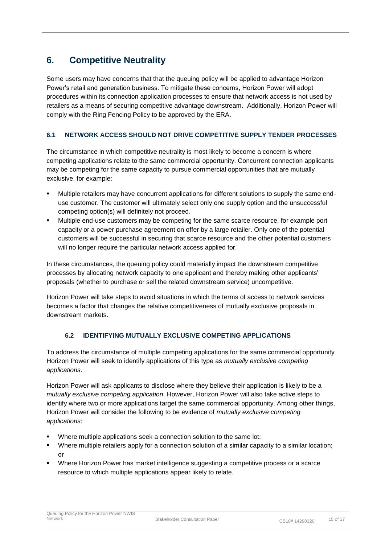# <span id="page-15-0"></span>**6. Competitive Neutrality**

Some users may have concerns that that the queuing policy will be applied to advantage Horizon Power's retail and generation business. To mitigate these concerns, Horizon Power will adopt procedures within its connection application processes to ensure that network access is not used by retailers as a means of securing competitive advantage downstream. Additionally, Horizon Power will comply with the Ring Fencing Policy to be approved by the ERA.

### <span id="page-15-1"></span>**6.1 NETWORK ACCESS SHOULD NOT DRIVE COMPETITIVE SUPPLY TENDER PROCESSES**

The circumstance in which competitive neutrality is most likely to become a concern is where competing applications relate to the same commercial opportunity. Concurrent connection applicants may be competing for the same capacity to pursue commercial opportunities that are mutually exclusive, for example:

- Multiple retailers may have concurrent applications for different solutions to supply the same enduse customer. The customer will ultimately select only one supply option and the unsuccessful competing option(s) will definitely not proceed.
- Multiple end-use customers may be competing for the same scarce resource, for example port capacity or a power purchase agreement on offer by a large retailer. Only one of the potential customers will be successful in securing that scarce resource and the other potential customers will no longer require the particular network access applied for.

In these circumstances, the queuing policy could materially impact the downstream competitive processes by allocating network capacity to one applicant and thereby making other applicants' proposals (whether to purchase or sell the related downstream service) uncompetitive.

Horizon Power will take steps to avoid situations in which the terms of access to network services becomes a factor that changes the relative competitiveness of mutually exclusive proposals in downstream markets.

### <span id="page-15-2"></span>**6.2 IDENTIFYING MUTUALLY EXCLUSIVE COMPETING APPLICATIONS**

To address the circumstance of multiple competing applications for the same commercial opportunity Horizon Power will seek to identify applications of this type as *mutually exclusive competing applications*.

Horizon Power will ask applicants to disclose where they believe their application is likely to be a *mutually exclusive competing application*. However, Horizon Power will also take active steps to identify where two or more applications target the same commercial opportunity. Among other things, Horizon Power will consider the following to be evidence of *mutually exclusive competing applications*:

- Where multiple applications seek a connection solution to the same lot;
- Where multiple retailers apply for a connection solution of a similar capacity to a similar location; or
- Where Horizon Power has market intelligence suggesting a competitive process or a scarce resource to which multiple applications appear likely to relate.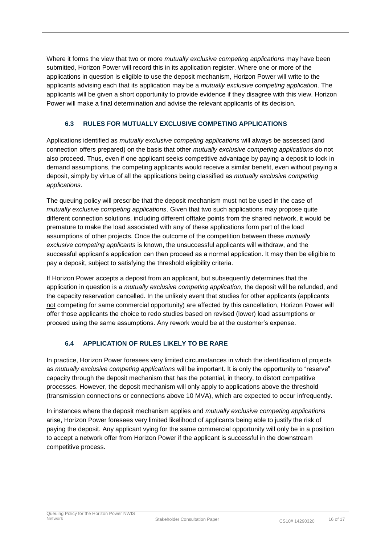Where it forms the view that two or more *mutually exclusive competing applications* may have been submitted, Horizon Power will record this in its application register. Where one or more of the applications in question is eligible to use the deposit mechanism, Horizon Power will write to the applicants advising each that its application may be a *mutually exclusive competing application*. The applicants will be given a short opportunity to provide evidence if they disagree with this view. Horizon Power will make a final determination and advise the relevant applicants of its decision.

### <span id="page-16-0"></span>**6.3 RULES FOR MUTUALLY EXCLUSIVE COMPETING APPLICATIONS**

Applications identified as *mutually exclusive competing applications* will always be assessed (and connection offers prepared) on the basis that other *mutually exclusive competing applications* do not also proceed. Thus, even if one applicant seeks competitive advantage by paying a deposit to lock in demand assumptions, the competing applicants would receive a similar benefit, even without paying a deposit, simply by virtue of all the applications being classified as *mutually exclusive competing applications*.

The queuing policy will prescribe that the deposit mechanism must not be used in the case of *mutually exclusive competing applications*. Given that two such applications may propose quite different connection solutions, including different offtake points from the shared network, it would be premature to make the load associated with any of these applications form part of the load assumptions of other projects. Once the outcome of the competition between these *mutually exclusive competing applicants* is known, the unsuccessful applicants will withdraw, and the successful applicant's application can then proceed as a normal application. It may then be eligible to pay a deposit, subject to satisfying the threshold eligibility criteria.

If Horizon Power accepts a deposit from an applicant, but subsequently determines that the application in question is a *mutually exclusive competing application*, the deposit will be refunded, and the capacity reservation cancelled. In the unlikely event that studies for other applicants (applicants not competing for same commercial opportunity) are affected by this cancellation, Horizon Power will offer those applicants the choice to redo studies based on revised (lower) load assumptions or proceed using the same assumptions. Any rework would be at the customer's expense.

### <span id="page-16-1"></span>**6.4 APPLICATION OF RULES LIKELY TO BE RARE**

In practice, Horizon Power foresees very limited circumstances in which the identification of projects as *mutually exclusive competing applications* will be important. It is only the opportunity to "reserve" capacity through the deposit mechanism that has the potential, in theory, to distort competitive processes. However, the deposit mechanism will only apply to applications above the threshold (transmission connections or connections above 10 MVA), which are expected to occur infrequently.

In instances where the deposit mechanism applies and *mutually exclusive competing applications* arise, Horizon Power foresees very limited likelihood of applicants being able to justify the risk of paying the deposit. Any applicant vying for the same commercial opportunity will only be in a position to accept a network offer from Horizon Power if the applicant is successful in the downstream competitive process.